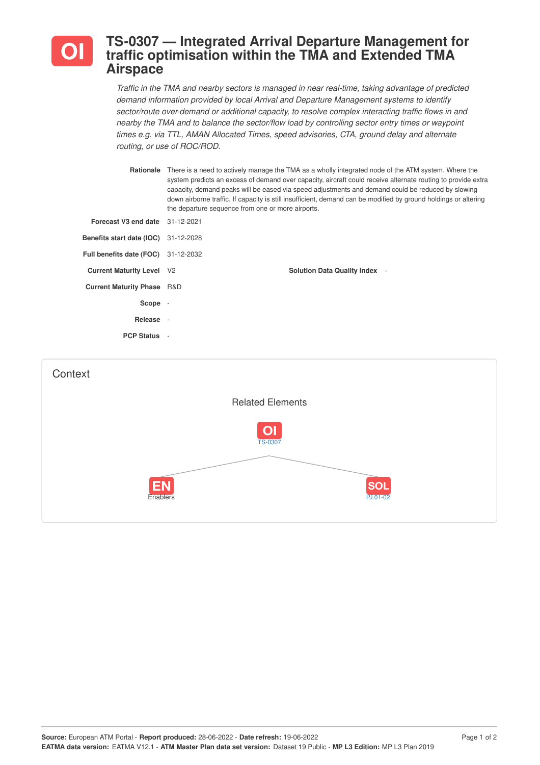

## **TS-0307 — Integrated Arrival Departure Management for traffic optimisation within the TMA and Extended TMA Airspace**

*Traffic in the TMA and nearby sectors is managed in near real-time, taking advantage of predicted demand information provided by local Arrival and Departure Management systems to identify sector/route over-demand or additional capacity, to resolve complex interacting traffic flows in and nearby the TMA and to balance the sector/flow load by controlling sector entry times or waypoint times e.g. via TTL, AMAN Allocated Times, speed advisories, CTA, ground delay and alternate routing, or use of ROC/ROD.*

| Rationale                                   | There is a need to actively manage the TMA as a wholly integrated node of the ATM system. Where the<br>system predicts an excess of demand over capacity, aircraft could receive alternate routing to provide extra<br>capacity, demand peaks will be eased via speed adjustments and demand could be reduced by slowing<br>down airborne traffic. If capacity is still insufficient, demand can be modified by ground holdings or altering<br>the departure sequence from one or more airports. |
|---------------------------------------------|--------------------------------------------------------------------------------------------------------------------------------------------------------------------------------------------------------------------------------------------------------------------------------------------------------------------------------------------------------------------------------------------------------------------------------------------------------------------------------------------------|
| Forecast V3 end date 31-12-2021             |                                                                                                                                                                                                                                                                                                                                                                                                                                                                                                  |
| <b>Benefits start date (IOC)</b> 31-12-2028 |                                                                                                                                                                                                                                                                                                                                                                                                                                                                                                  |
| <b>Full benefits date (FOC)</b> 31-12-2032  |                                                                                                                                                                                                                                                                                                                                                                                                                                                                                                  |
| <b>Current Maturity Level V2</b>            | <b>Solution Data Quality Index</b> -                                                                                                                                                                                                                                                                                                                                                                                                                                                             |
| <b>Current Maturity Phase R&amp;D</b>       |                                                                                                                                                                                                                                                                                                                                                                                                                                                                                                  |
| Scope -                                     |                                                                                                                                                                                                                                                                                                                                                                                                                                                                                                  |
| Release -                                   |                                                                                                                                                                                                                                                                                                                                                                                                                                                                                                  |
| <b>PCP Status -</b>                         |                                                                                                                                                                                                                                                                                                                                                                                                                                                                                                  |